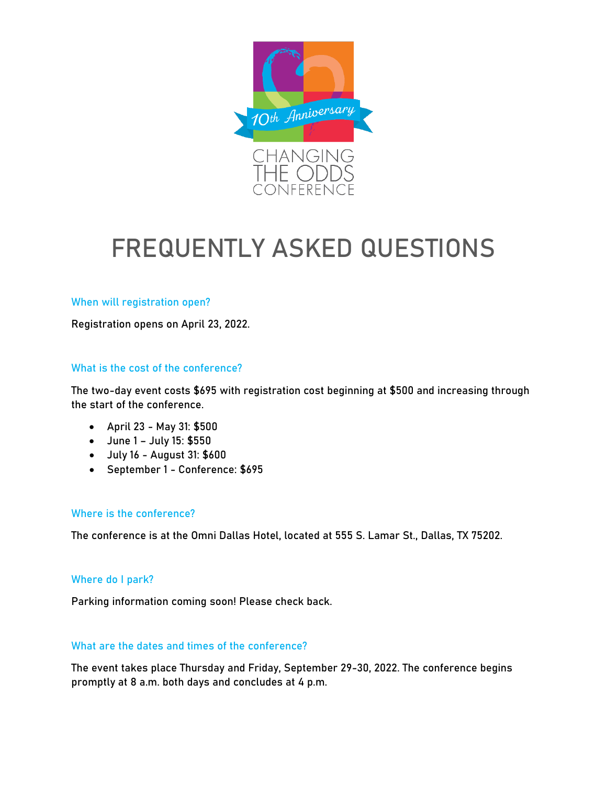

# FREQUENTLY ASKED QUESTIONS

#### When will registration open?

Registration opens on April 23, 2022.

### What is the cost of the conference?

The two-day event costs \$695 with registration cost beginning at \$500 and increasing through the start of the conference.

- April 23 May 31: \$500
- June 1 July 15: \$550
- July 16 August 31: \$600
- September 1 Conference: \$695

#### Where is the conference?

The conference is at the Omni Dallas Hotel, located at 555 S. Lamar St., Dallas, TX 75202.

#### Where do I park?

Parking information coming soon! Please check back.

#### What are the dates and times of the conference?

The event takes place Thursday and Friday, September 29-30, 2022. The conference begins promptly at 8 a.m. both days and concludes at 4 p.m.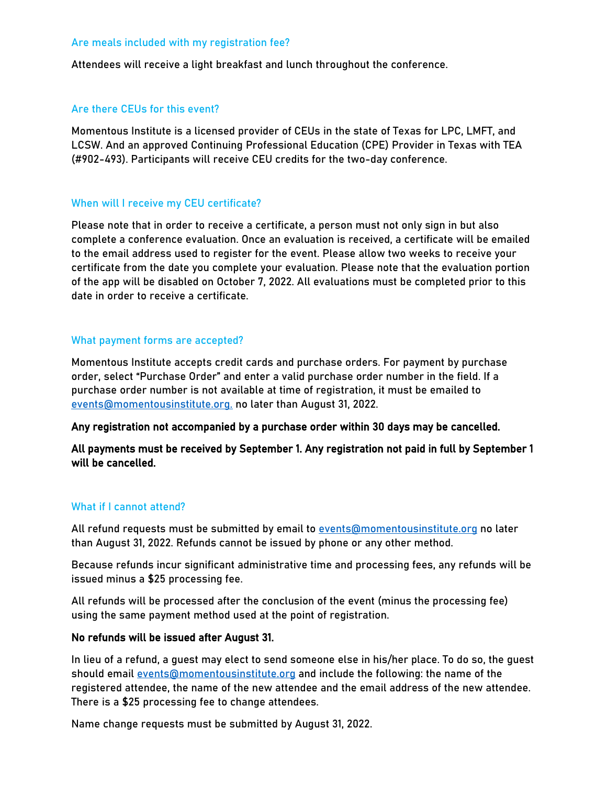#### Are meals included with my registration fee?

Attendees will receive a light breakfast and lunch throughout the conference.

#### Are there CEUs for this event?

Momentous Institute is a licensed provider of CEUs in the state of Texas for LPC, LMFT, and LCSW. And an approved Continuing Professional Education (CPE) Provider in Texas with TEA (#902-493). Participants will receive CEU credits for the two-day conference.

#### When will I receive my CEU certificate?

Please note that in order to receive a certificate, a person must not only sign in but also complete a conference evaluation. Once an evaluation is received, a certificate will be emailed to the email address used to register for the event. Please allow two weeks to receive your certificate from the date you complete your evaluation. Please note that the evaluation portion of the app will be disabled on October 7, 2022. All evaluations must be completed prior to this date in order to receive a certificate.

#### What payment forms are accepted?

Momentous Institute accepts credit cards and purchase orders. For payment by purchase order, select "Purchase Order" and enter a valid purchase order number in the field. If a purchase order number is not available at time of registration, it must be emailed to [events@momentousinstitute.org.](mailto:events@momentousinstitute.org) no later than August 31, 2022.

#### Any registration not accompanied by a purchase order within 30 days may be cancelled.

All payments must be received by September 1. Any registration not paid in full by September 1 will be cancelled.

#### What if I cannot attend?

All refund requests must be submitted by email to events@momentousinstitute.org no later than August 31, 2022. Refunds cannot be issued by phone or any other method.

Because refunds incur significant administrative time and processing fees, any refunds will be issued minus a \$25 processing fee.

All refunds will be processed after the conclusion of the event (minus the processing fee) using the same payment method used at the point of registration.

#### No refunds will be issued after August 31.

In lieu of a refund, a guest may elect to send someone else in his/her place. To do so, the guest should email events@momentousinstitute.org and include the following: the name of the registered attendee, the name of the new attendee and the email address of the new attendee. There is a \$25 processing fee to change attendees.

Name change requests must be submitted by August 31, 2022.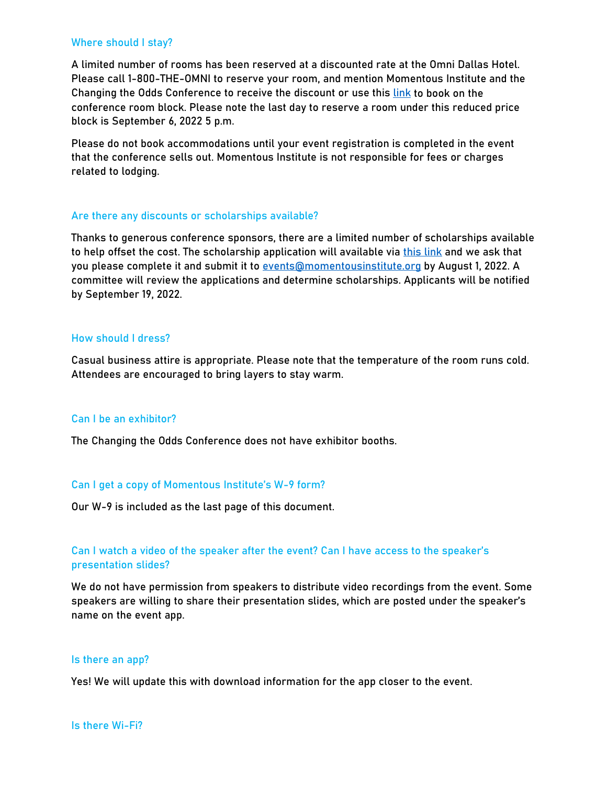#### Where should I stay?

A limited number of rooms has been reserved at a discounted rate at the Omni Dallas Hotel. Please call 1-800-THE-OMNI to reserve your room, and mention Momentous Institute and the Changing the Odds Conference to receive the discount or use this [link](https://www.omnihotels.com/hotels/dallas/meetings/momentous-institute-room-block-09272022) to book on the conference room block. Please note the last day to reserve a room under this reduced price block is September 6, 2022 5 p.m.

Please do not book accommodations until your event registration is completed in the event that the conference sells out. Momentous Institute is not responsible for fees or charges related to lodging.

#### Are there any discounts or scholarships available?

Thanks to generous conference sponsors, there are a limited number of scholarships available to help offset the cost. The scholarship application will available via [this link](https://momentousinstitute.org/assets/events/2022-Scholarship-Application.pdf) and we ask that you please complete it and submit it to events@momentousinstitute.org by August 1, 2022. A committee will review the applications and determine scholarships. Applicants will be notified by September 19, 2022.

#### How should I dress?

Casual business attire is appropriate. Please note that the temperature of the room runs cold. Attendees are encouraged to bring layers to stay warm.

#### Can I be an exhibitor?

The Changing the Odds Conference does not have exhibitor booths.

#### Can I get a copy of Momentous Institute's W-9 form?

Our W-9 is included as the last page of this document.

## Can I watch a video of the speaker after the event? Can I have access to the speaker's presentation slides?

We do not have permission from speakers to distribute video recordings from the event. Some speakers are willing to share their presentation slides, which are posted under the speaker's name on the event app.

#### Is there an app?

Yes! We will update this with download information for the app closer to the event.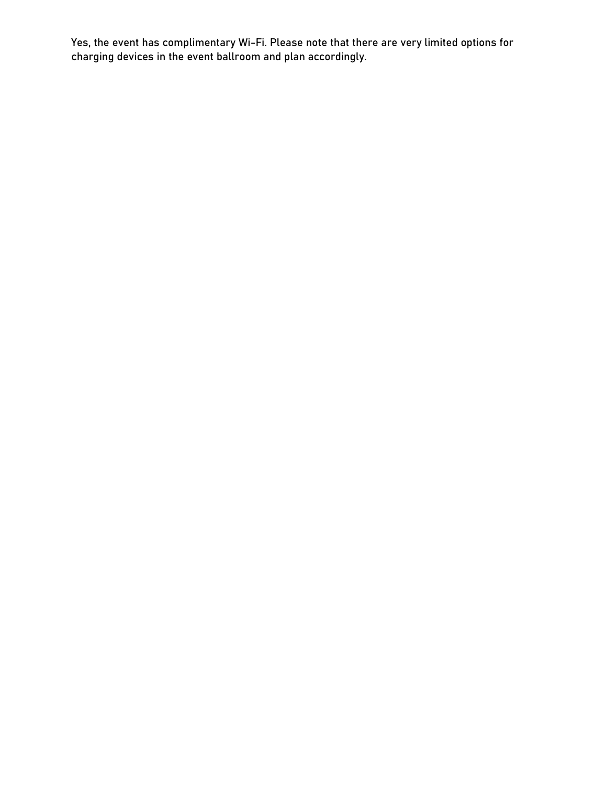Yes, the event has complimentary Wi-Fi. Please note that there are very limited options for charging devices in the event ballroom and plan accordingly.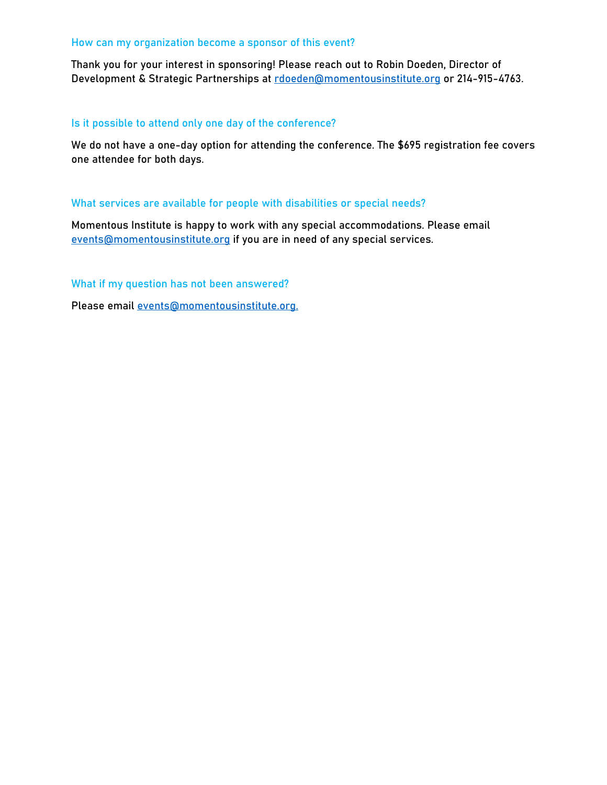#### How can my organization become a sponsor of this event?

Thank you for your interest in sponsoring! Please reach out to Robin Doeden, Director of Development & Strategic Partnerships at [rdoeden@momentousinstitute.org](mailto:rdoeden@momentousinstitute.org) or 214-915-4763.

#### Is it possible to attend only one day of the conference?

We do not have a one-day option for attending the conference. The \$695 registration fee covers one attendee for both days.

#### What services are available for people with disabilities or special needs?

Momentous Institute is happy to work with any special accommodations. Please email events@momentousinstitute.org if you are in need of any special services.

What if my question has not been answered?

Please email events@momentousinstitute.org.